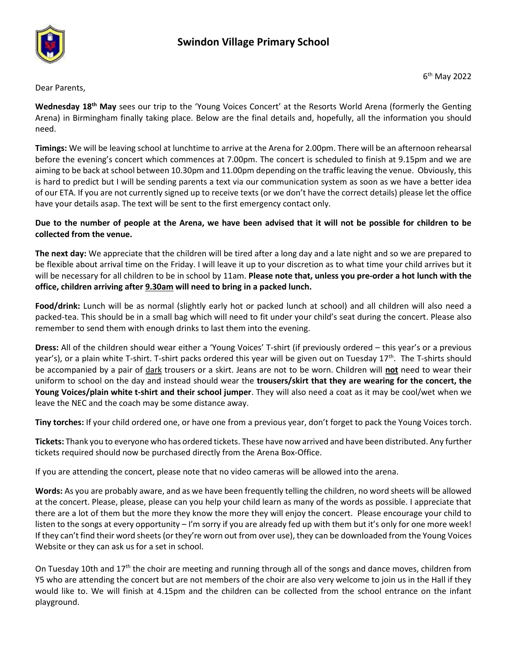

Dear Parents,

**Wednesday 18th May** sees our trip to the 'Young Voices Concert' at the Resorts World Arena (formerly the Genting Arena) in Birmingham finally taking place. Below are the final details and, hopefully, all the information you should need.

**Timings:** We will be leaving school at lunchtime to arrive at the Arena for 2.00pm. There will be an afternoon rehearsal before the evening's concert which commences at 7.00pm. The concert is scheduled to finish at 9.15pm and we are aiming to be back at school between 10.30pm and 11.00pm depending on the traffic leaving the venue. Obviously, this is hard to predict but I will be sending parents a text via our communication system as soon as we have a better idea of our ETA. If you are not currently signed up to receive texts (or we don't have the correct details) please let the office have your details asap. The text will be sent to the first emergency contact only.

**Due to the number of people at the Arena, we have been advised that it will not be possible for children to be collected from the venue.**

**The next day:** We appreciate that the children will be tired after a long day and a late night and so we are prepared to be flexible about arrival time on the Friday. I will leave it up to your discretion as to what time your child arrives but it will be necessary for all children to be in school by 11am. **Please note that, unless you pre-order a hot lunch with the office, children arriving after 9.30am will need to bring in a packed lunch.**

**Food/drink:** Lunch will be as normal (slightly early hot or packed lunch at school) and all children will also need a packed-tea. This should be in a small bag which will need to fit under your child's seat during the concert. Please also remember to send them with enough drinks to last them into the evening.

**Dress:** All of the children should wear either a 'Young Voices' T-shirt (if previously ordered – this year's or a previous year's), or a plain white T-shirt. T-shirt packs ordered this year will be given out on Tuesday 17<sup>th</sup>. The T-shirts should be accompanied by a pair of dark trousers or a skirt. Jeans are not to be worn. Children will **not** need to wear their uniform to school on the day and instead should wear the **trousers/skirt that they are wearing for the concert, the Young Voices/plain white t-shirt and their school jumper**. They will also need a coat as it may be cool/wet when we leave the NEC and the coach may be some distance away.

**Tiny torches:** If your child ordered one, or have one from a previous year, don't forget to pack the Young Voices torch.

**Tickets:** Thank you to everyone who has ordered tickets. These have now arrived and have been distributed. Any further tickets required should now be purchased directly from the Arena Box-Office.

If you are attending the concert, please note that no video cameras will be allowed into the arena.

**Words:** As you are probably aware, and as we have been frequently telling the children, no word sheets will be allowed at the concert. Please, please, please can you help your child learn as many of the words as possible. I appreciate that there are a lot of them but the more they know the more they will enjoy the concert. Please encourage your child to listen to the songs at every opportunity – I'm sorry if you are already fed up with them but it's only for one more week! If they can't find their word sheets (or they're worn out from over use), they can be downloaded from the Young Voices Website or they can ask us for a set in school.

On Tuesday 10th and  $17<sup>th</sup>$  the choir are meeting and running through all of the songs and dance moves, children from Y5 who are attending the concert but are not members of the choir are also very welcome to join us in the Hall if they would like to. We will finish at 4.15pm and the children can be collected from the school entrance on the infant playground.